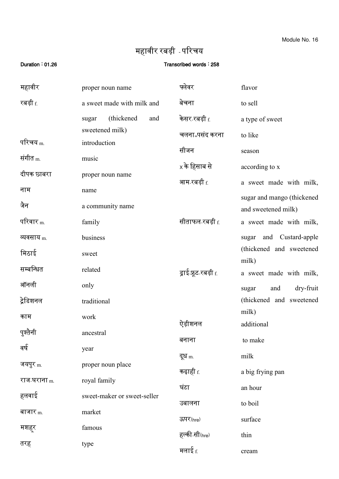Module No. 16

## महावीर रबड़ी - पररचय

## Duration : 01.26 **Duration** : 01.26

| महावीर              | proper noun name            | फ्लेवर                            | flavor                           |
|---------------------|-----------------------------|-----------------------------------|----------------------------------|
| रबड़ी <sub>f.</sub> | a sweet made with milk and  | बेचना                             | to sell                          |
|                     | (thickened)<br>and<br>sugar | केसर रबड़ी <sub>f.</sub>          | a type of sweet                  |
|                     | sweetened milk)             | चलना-पसंद करना                    | to like                          |
| परिचय <sub>m.</sub> | introduction                | सीजन                              | season                           |
| संगीत <sub>m.</sub> | music                       | $\mathrm{\mathsf{x}}$ के हिसाब से | according to x                   |
| दीपक छाबरा          | proper noun name            | आम रबड़ी <sub>f.</sub>            | a sweet made with milk,          |
| नाम                 | name                        |                                   | sugar and mango (thickened       |
| जैन                 | a community name            |                                   | and sweetened milk)              |
| परिवार $_{\rm m}$   | family                      | सीताफल रबड़ी <sub>f.</sub>        | a sweet made with milk,          |
| व्यवसाय $_{\rm m}$  | business                    |                                   | sugar and Custard-apple          |
| मिठाई               | sweet                       |                                   | (thickened and sweetened         |
| सम्बन्धित           | related                     | ड्राई-फ्रूट-रबड़ी <u>f</u>        | milk)<br>a sweet made with milk, |
| ऑनली                | only                        |                                   | dry-fruit<br>and<br>sugar        |
| ट्रेडिशनल           | traditional                 |                                   | (thickened and sweetened         |
| काम                 | work                        |                                   | milk)                            |
| पुश्तैनी            | ancestral                   | ऐड़ीशनल                           | additional                       |
| वर्ष                | year                        | बनाना                             | to make                          |
| जयपुर <sub>m.</sub> | proper noun place           | दूध <sub>m.</sub>                 | milk                             |
| राज-घराना m.        | royal family                | कढ़ाही <sub>f.</sub>              | a big frying pan                 |
| हलवाई               | sweet-maker or sweet-seller | घंटा                              | an hour                          |
| बाजार <sub>m.</sub> | market                      | उबालना                            | to boil                          |
| मशहूर               | famous                      | ऊपर(hre)                          | surface                          |
|                     |                             | हल्की-सी(hre)                     | thin                             |
| तरह                 | type                        | मलाई <sub>f.</sub>                | cream                            |